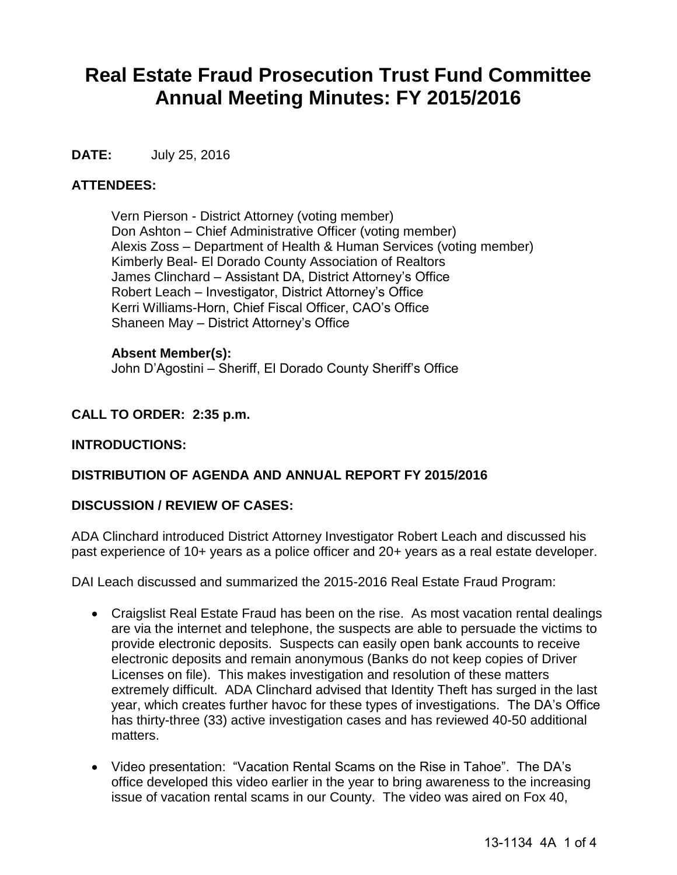# **Real Estate Fraud Prosecution Trust Fund Committee Annual Meeting Minutes: FY 2015/2016**

# **DATE:** July 25, 2016

# **ATTENDEES:**

Vern Pierson - District Attorney (voting member) Don Ashton – Chief Administrative Officer (voting member) Alexis Zoss – Department of Health & Human Services (voting member) Kimberly Beal- El Dorado County Association of Realtors James Clinchard – Assistant DA, District Attorney's Office Robert Leach – Investigator, District Attorney's Office Kerri Williams-Horn, Chief Fiscal Officer, CAO's Office Shaneen May – District Attorney's Office

## **Absent Member(s):**

John D'Agostini – Sheriff, El Dorado County Sheriff's Office

# **CALL TO ORDER: 2:35 p.m.**

# **INTRODUCTIONS:**

# **DISTRIBUTION OF AGENDA AND ANNUAL REPORT FY 2015/2016**

## **DISCUSSION / REVIEW OF CASES:**

ADA Clinchard introduced District Attorney Investigator Robert Leach and discussed his past experience of 10+ years as a police officer and 20+ years as a real estate developer.

DAI Leach discussed and summarized the 2015-2016 Real Estate Fraud Program:

- Craigslist Real Estate Fraud has been on the rise. As most vacation rental dealings are via the internet and telephone, the suspects are able to persuade the victims to provide electronic deposits. Suspects can easily open bank accounts to receive electronic deposits and remain anonymous (Banks do not keep copies of Driver Licenses on file). This makes investigation and resolution of these matters extremely difficult. ADA Clinchard advised that Identity Theft has surged in the last year, which creates further havoc for these types of investigations. The DA's Office has thirty-three (33) active investigation cases and has reviewed 40-50 additional matters.
- Video presentation: "Vacation Rental Scams on the Rise in Tahoe". The DA's office developed this video earlier in the year to bring awareness to the increasing issue of vacation rental scams in our County. The video was aired on Fox 40,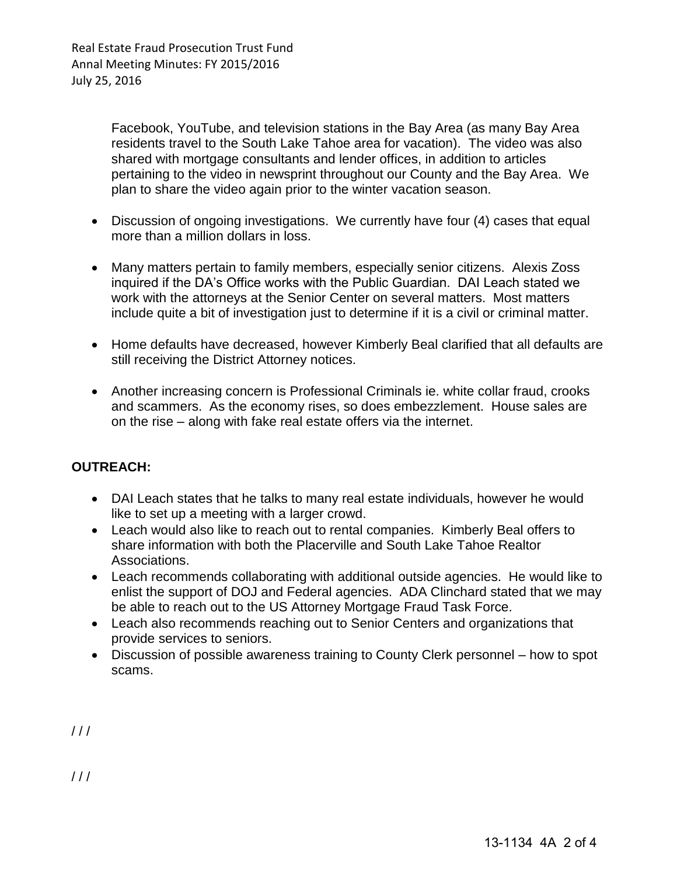Facebook, YouTube, and television stations in the Bay Area (as many Bay Area residents travel to the South Lake Tahoe area for vacation). The video was also shared with mortgage consultants and lender offices, in addition to articles pertaining to the video in newsprint throughout our County and the Bay Area. We plan to share the video again prior to the winter vacation season.

- Discussion of ongoing investigations. We currently have four (4) cases that equal more than a million dollars in loss.
- Many matters pertain to family members, especially senior citizens. Alexis Zoss inquired if the DA's Office works with the Public Guardian. DAI Leach stated we work with the attorneys at the Senior Center on several matters. Most matters include quite a bit of investigation just to determine if it is a civil or criminal matter.
- Home defaults have decreased, however Kimberly Beal clarified that all defaults are still receiving the District Attorney notices.
- Another increasing concern is Professional Criminals ie. white collar fraud, crooks and scammers. As the economy rises, so does embezzlement. House sales are on the rise – along with fake real estate offers via the internet.

# **OUTREACH:**

- DAI Leach states that he talks to many real estate individuals, however he would like to set up a meeting with a larger crowd.
- Leach would also like to reach out to rental companies. Kimberly Beal offers to share information with both the Placerville and South Lake Tahoe Realtor Associations.
- Leach recommends collaborating with additional outside agencies. He would like to enlist the support of DOJ and Federal agencies. ADA Clinchard stated that we may be able to reach out to the US Attorney Mortgage Fraud Task Force.
- Leach also recommends reaching out to Senior Centers and organizations that provide services to seniors.
- Discussion of possible awareness training to County Clerk personnel how to spot scams.

 $111$ 

 $11<sup>1</sup>$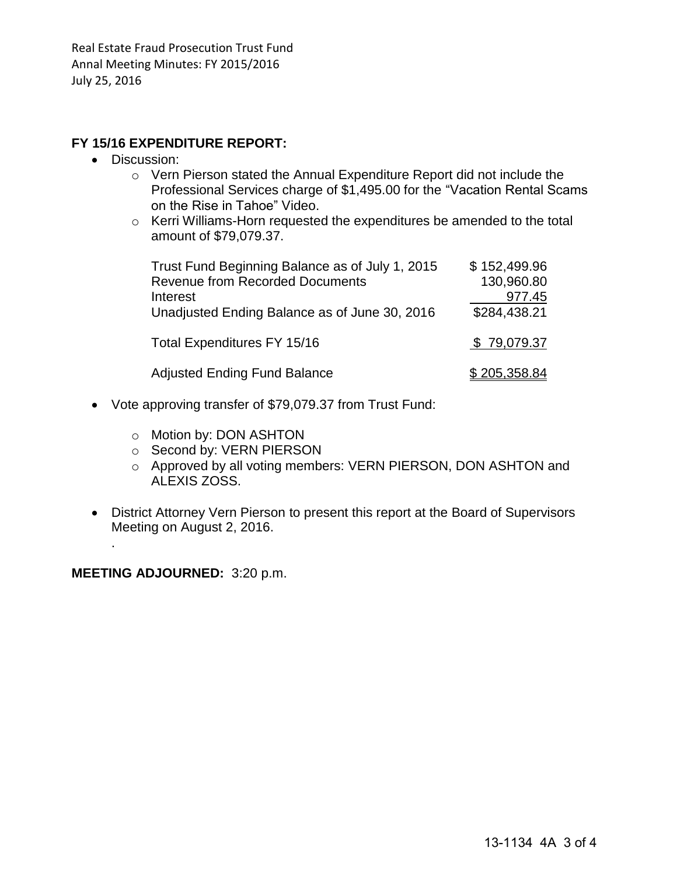# **FY 15/16 EXPENDITURE REPORT:**

- Discussion:
	- o Vern Pierson stated the Annual Expenditure Report did not include the Professional Services charge of \$1,495.00 for the "Vacation Rental Scams on the Rise in Tahoe" Video.
	- o Kerri Williams-Horn requested the expenditures be amended to the total amount of \$79,079.37.

| Trust Fund Beginning Balance as of July 1, 2015<br><b>Revenue from Recorded Documents</b><br>Interest<br>Unadjusted Ending Balance as of June 30, 2016 | \$152,499.96<br>130,960.80<br>977.45<br>\$284,438.21 |
|--------------------------------------------------------------------------------------------------------------------------------------------------------|------------------------------------------------------|
| Total Expenditures FY 15/16                                                                                                                            | \$79,079.37                                          |
| <b>Adjusted Ending Fund Balance</b>                                                                                                                    | \$205,358.84                                         |

- Vote approving transfer of \$79,079.37 from Trust Fund:
	- o Motion by: DON ASHTON
	- o Second by: VERN PIERSON
	- o Approved by all voting members: VERN PIERSON, DON ASHTON and ALEXIS ZOSS.
- District Attorney Vern Pierson to present this report at the Board of Supervisors Meeting on August 2, 2016.

**MEETING ADJOURNED:** 3:20 p.m.

.